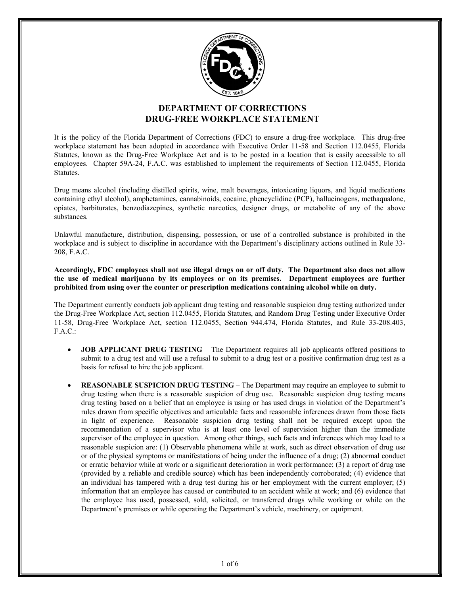

# DEPARTMENT OF CORRECTIONS DRUG-FREE WORKPLACE STATEMENT

It is the policy of the Florida Department of Corrections (FDC) to ensure a drug-free workplace. This drug-free workplace statement has been adopted in accordance with Executive Order 11-58 and Section 112.0455, Florida Statutes, known as the Drug-Free Workplace Act and is to be posted in a location that is easily accessible to all employees. Chapter 59A-24, F.A.C. was established to implement the requirements of Section 112.0455, Florida Statutes.

Drug means alcohol (including distilled spirits, wine, malt beverages, intoxicating liquors, and liquid medications containing ethyl alcohol), amphetamines, cannabinoids, cocaine, phencyclidine (PCP), hallucinogens, methaqualone, opiates, barbiturates, benzodiazepines, synthetic narcotics, designer drugs, or metabolite of any of the above substances.

Unlawful manufacture, distribution, dispensing, possession, or use of a controlled substance is prohibited in the workplace and is subject to discipline in accordance with the Department's disciplinary actions outlined in Rule 33- 208, F.A.C.

Accordingly, FDC employees shall not use illegal drugs on or off duty. The Department also does not allow the use of medical marijuana by its employees or on its premises. Department employees are further prohibited from using over the counter or prescription medications containing alcohol while on duty.

The Department currently conducts job applicant drug testing and reasonable suspicion drug testing authorized under the Drug-Free Workplace Act, section 112.0455, Florida Statutes, and Random Drug Testing under Executive Order 11-58, Drug-Free Workplace Act, section 112.0455, Section 944.474, Florida Statutes, and Rule 33-208.403, F.A.C.:

- JOB APPLICANT DRUG TESTING The Department requires all job applicants offered positions to submit to a drug test and will use a refusal to submit to a drug test or a positive confirmation drug test as a basis for refusal to hire the job applicant.
- REASONABLE SUSPICION DRUG TESTING The Department may require an employee to submit to drug testing when there is a reasonable suspicion of drug use. Reasonable suspicion drug testing means drug testing based on a belief that an employee is using or has used drugs in violation of the Department's rules drawn from specific objectives and articulable facts and reasonable inferences drawn from those facts in light of experience. Reasonable suspicion drug testing shall not be required except upon the recommendation of a supervisor who is at least one level of supervision higher than the immediate supervisor of the employee in question. Among other things, such facts and inferences which may lead to a reasonable suspicion are: (1) Observable phenomena while at work, such as direct observation of drug use or of the physical symptoms or manifestations of being under the influence of a drug; (2) abnormal conduct or erratic behavior while at work or a significant deterioration in work performance; (3) a report of drug use (provided by a reliable and credible source) which has been independently corroborated; (4) evidence that an individual has tampered with a drug test during his or her employment with the current employer; (5) information that an employee has caused or contributed to an accident while at work; and (6) evidence that the employee has used, possessed, sold, solicited, or transferred drugs while working or while on the Department's premises or while operating the Department's vehicle, machinery, or equipment.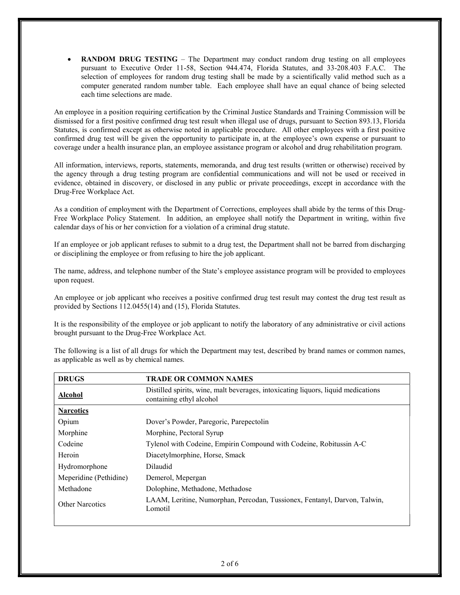RANDOM DRUG TESTING – The Department may conduct random drug testing on all employees pursuant to Executive Order 11-58, Section 944.474, Florida Statutes, and 33-208.403 F.A.C. The selection of employees for random drug testing shall be made by a scientifically valid method such as a computer generated random number table. Each employee shall have an equal chance of being selected each time selections are made.

An employee in a position requiring certification by the Criminal Justice Standards and Training Commission will be dismissed for a first positive confirmed drug test result when illegal use of drugs, pursuant to Section 893.13, Florida Statutes, is confirmed except as otherwise noted in applicable procedure. All other employees with a first positive confirmed drug test will be given the opportunity to participate in, at the employee's own expense or pursuant to coverage under a health insurance plan, an employee assistance program or alcohol and drug rehabilitation program.

All information, interviews, reports, statements, memoranda, and drug test results (written or otherwise) received by the agency through a drug testing program are confidential communications and will not be used or received in evidence, obtained in discovery, or disclosed in any public or private proceedings, except in accordance with the Drug-Free Workplace Act.

As a condition of employment with the Department of Corrections, employees shall abide by the terms of this Drug-Free Workplace Policy Statement. In addition, an employee shall notify the Department in writing, within five calendar days of his or her conviction for a violation of a criminal drug statute.

If an employee or job applicant refuses to submit to a drug test, the Department shall not be barred from discharging or disciplining the employee or from refusing to hire the job applicant.

The name, address, and telephone number of the State's employee assistance program will be provided to employees upon request.

An employee or job applicant who receives a positive confirmed drug test result may contest the drug test result as provided by Sections 112.0455(14) and (15), Florida Statutes.

It is the responsibility of the employee or job applicant to notify the laboratory of any administrative or civil actions brought pursuant to the Drug-Free Workplace Act.

The following is a list of all drugs for which the Department may test, described by brand names or common names, as applicable as well as by chemical names.

| <b>DRUGS</b>           | <b>TRADE OR COMMON NAMES</b>                                                                                  |
|------------------------|---------------------------------------------------------------------------------------------------------------|
| <b>Alcohol</b>         | Distilled spirits, wine, malt beverages, intoxicating liquors, liquid medications<br>containing ethyl alcohol |
| <b>Narcotics</b>       |                                                                                                               |
| Opium                  | Dover's Powder, Paregoric, Parepectolin                                                                       |
| Morphine               | Morphine, Pectoral Syrup                                                                                      |
| Codeine                | Tylenol with Codeine, Empirin Compound with Codeine, Robitussin A-C                                           |
| Heroin                 | Diacetylmorphine, Horse, Smack                                                                                |
| Hydromorphone          | Dilaudid                                                                                                      |
| Meperidine (Pethidine) | Demerol, Mepergan                                                                                             |
| Methadone              | Dolophine, Methadone, Methadose                                                                               |
| <b>Other Narcotics</b> | LAAM, Leritine, Numorphan, Percodan, Tussionex, Fentanyl, Darvon, Talwin,<br>Lomotil                          |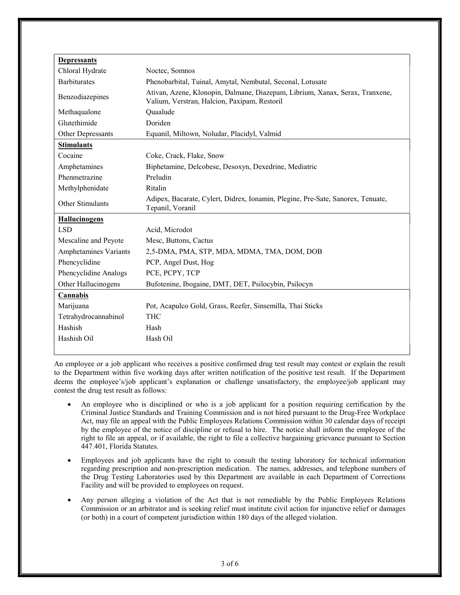| <b>Depressants</b>    |                                                                                                                              |
|-----------------------|------------------------------------------------------------------------------------------------------------------------------|
| Chloral Hydrate       | Noctec, Somnos                                                                                                               |
| <b>Barbiturates</b>   | Phenobarbital, Tuinal, Amytal, Nembutal, Seconal, Lotusate                                                                   |
| Benzodiazepines       | Ativan, Azene, Klonopin, Dalmane, Diazepam, Librium, Xanax, Serax, Tranxene,<br>Valium, Verstran, Halcion, Paxipam, Restoril |
| Methaqualone          | Quaalude                                                                                                                     |
| Glutethimide          | Doriden                                                                                                                      |
| Other Depressants     | Equanil, Miltown, Noludar, Placidyl, Valmid                                                                                  |
| <b>Stimulants</b>     |                                                                                                                              |
| Cocaine               | Coke, Crack, Flake, Snow                                                                                                     |
| Amphetamines          | Biphetamine, Delcobese, Desoxyn, Dexedrine, Mediatric                                                                        |
| Phenmetrazine         | Preludin                                                                                                                     |
| Methylphenidate       | Ritalin                                                                                                                      |
| Other Stimulants      | Adipex, Bacarate, Cylert, Didrex, Ionamin, Plegine, Pre-Sate, Sanorex, Tenuate,<br>Tepanil, Voranil                          |
| <b>Hallucinogens</b>  |                                                                                                                              |
| <b>LSD</b>            | Acid, Microdot                                                                                                               |
| Mescaline and Peyote  | Mesc, Buttons, Cactus                                                                                                        |
| Amphetamines Variants | 2,5-DMA, PMA, STP, MDA, MDMA, TMA, DOM, DOB                                                                                  |
| Phencyclidine         | PCP, Angel Dust, Hog                                                                                                         |
| Phencyclidine Analogs | PCE, PCPY, TCP                                                                                                               |
| Other Hallucinogens   | Bufotenine, Ibogaine, DMT, DET, Psilocybin, Psilocyn                                                                         |
| Cannabis              |                                                                                                                              |
| Marijuana             | Pot, Acapulco Gold, Grass, Reefer, Sinsemilla, Thai Sticks                                                                   |
| Tetrahydrocannabinol  | <b>THC</b>                                                                                                                   |
| Hashish               | Hash                                                                                                                         |
| Hashish Oil           | Hash Oil                                                                                                                     |
|                       |                                                                                                                              |

An employee or a job applicant who receives a positive confirmed drug test result may contest or explain the result to the Department within five working days after written notification of the positive test result. If the Department deems the employee's/job applicant's explanation or challenge unsatisfactory, the employee/job applicant may contest the drug test result as follows:

- An employee who is disciplined or who is a job applicant for a position requiring certification by the Criminal Justice Standards and Training Commission and is not hired pursuant to the Drug-Free Workplace Act, may file an appeal with the Public Employees Relations Commission within 30 calendar days of receipt by the employee of the notice of discipline or refusal to hire. The notice shall inform the employee of the right to file an appeal, or if available, the right to file a collective bargaining grievance pursuant to Section 447.401, Florida Statutes.
- Employees and job applicants have the right to consult the testing laboratory for technical information regarding prescription and non-prescription medication. The names, addresses, and telephone numbers of the Drug Testing Laboratories used by this Department are available in each Department of Corrections Facility and will be provided to employees on request.
- Any person alleging a violation of the Act that is not remediable by the Public Employees Relations Commission or an arbitrator and is seeking relief must institute civil action for injunctive relief or damages (or both) in a court of competent jurisdiction within 180 days of the alleged violation.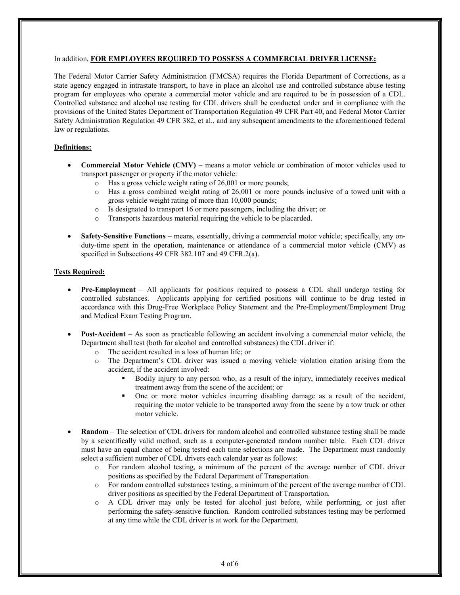#### In addition, FOR EMPLOYEES REQUIRED TO POSSESS A COMMERCIAL DRIVER LICENSE:

The Federal Motor Carrier Safety Administration (FMCSA) requires the Florida Department of Corrections, as a state agency engaged in intrastate transport, to have in place an alcohol use and controlled substance abuse testing program for employees who operate a commercial motor vehicle and are required to be in possession of a CDL. Controlled substance and alcohol use testing for CDL drivers shall be conducted under and in compliance with the provisions of the United States Department of Transportation Regulation 49 CFR Part 40, and Federal Motor Carrier Safety Administration Regulation 49 CFR 382, et al., and any subsequent amendments to the aforementioned federal law or regulations.

# Definitions:

- Commercial Motor Vehicle (CMV) means a motor vehicle or combination of motor vehicles used to transport passenger or property if the motor vehicle:
	- o Has a gross vehicle weight rating of 26,001 or more pounds;
	- $\circ$  Has a gross combined weight rating of 26,001 or more pounds inclusive of a towed unit with a gross vehicle weight rating of more than 10,000 pounds;
	- o Is designated to transport 16 or more passengers, including the driver; or
	- o Transports hazardous material requiring the vehicle to be placarded.
- Safety-Sensitive Functions means, essentially, driving a commercial motor vehicle; specifically, any onduty-time spent in the operation, maintenance or attendance of a commercial motor vehicle (CMV) as specified in Subsections 49 CFR 382.107 and 49 CFR.2(a).

## Tests Required:

- Pre-Employment All applicants for positions required to possess a CDL shall undergo testing for controlled substances. Applicants applying for certified positions will continue to be drug tested in accordance with this Drug-Free Workplace Policy Statement and the Pre-Employment/Employment Drug and Medical Exam Testing Program.
- Post-Accident As soon as practicable following an accident involving a commercial motor vehicle, the Department shall test (both for alcohol and controlled substances) the CDL driver if:
	- o The accident resulted in a loss of human life; or
	- o The Department's CDL driver was issued a moving vehicle violation citation arising from the accident, if the accident involved:
		- Bodily injury to any person who, as a result of the injury, immediately receives medical treatment away from the scene of the accident; or
		- One or more motor vehicles incurring disabling damage as a result of the accident, requiring the motor vehicle to be transported away from the scene by a tow truck or other motor vehicle.
- Random The selection of CDL drivers for random alcohol and controlled substance testing shall be made by a scientifically valid method, such as a computer-generated random number table. Each CDL driver must have an equal chance of being tested each time selections are made. The Department must randomly select a sufficient number of CDL drivers each calendar year as follows:
	- o For random alcohol testing, a minimum of the percent of the average number of CDL driver positions as specified by the Federal Department of Transportation.
	- o For random controlled substances testing, a minimum of the percent of the average number of CDL driver positions as specified by the Federal Department of Transportation.
	- o A CDL driver may only be tested for alcohol just before, while performing, or just after performing the safety-sensitive function. Random controlled substances testing may be performed at any time while the CDL driver is at work for the Department.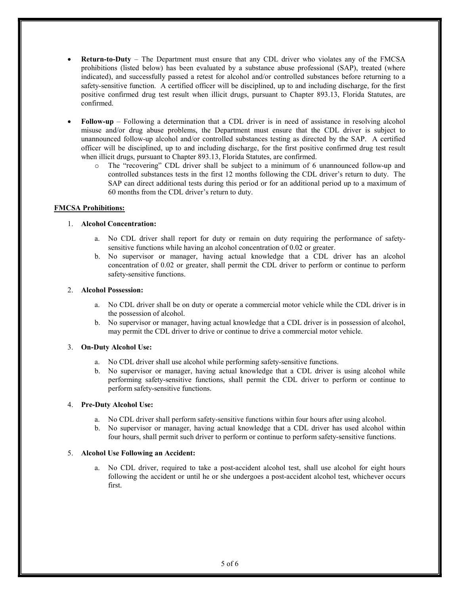- Return-to-Duty The Department must ensure that any CDL driver who violates any of the FMCSA prohibitions (listed below) has been evaluated by a substance abuse professional (SAP), treated (where indicated), and successfully passed a retest for alcohol and/or controlled substances before returning to a safety-sensitive function. A certified officer will be disciplined, up to and including discharge, for the first positive confirmed drug test result when illicit drugs, pursuant to Chapter 893.13, Florida Statutes, are confirmed.
- Follow-up Following a determination that a CDL driver is in need of assistance in resolving alcohol misuse and/or drug abuse problems, the Department must ensure that the CDL driver is subject to unannounced follow-up alcohol and/or controlled substances testing as directed by the SAP. A certified officer will be disciplined, up to and including discharge, for the first positive confirmed drug test result when illicit drugs, pursuant to Chapter 893.13, Florida Statutes, are confirmed.
	- o The "recovering" CDL driver shall be subject to a minimum of 6 unannounced follow-up and controlled substances tests in the first 12 months following the CDL driver's return to duty. The SAP can direct additional tests during this period or for an additional period up to a maximum of 60 months from the CDL driver's return to duty.

## FMCSA Prohibitions:

## 1. Alcohol Concentration:

- a. No CDL driver shall report for duty or remain on duty requiring the performance of safetysensitive functions while having an alcohol concentration of 0.02 or greater.
- b. No supervisor or manager, having actual knowledge that a CDL driver has an alcohol concentration of 0.02 or greater, shall permit the CDL driver to perform or continue to perform safety-sensitive functions.

# 2. Alcohol Possession:

- a. No CDL driver shall be on duty or operate a commercial motor vehicle while the CDL driver is in the possession of alcohol.
- b. No supervisor or manager, having actual knowledge that a CDL driver is in possession of alcohol, may permit the CDL driver to drive or continue to drive a commercial motor vehicle.

# 3. On-Duty Alcohol Use:

- a. No CDL driver shall use alcohol while performing safety-sensitive functions.
- b. No supervisor or manager, having actual knowledge that a CDL driver is using alcohol while performing safety-sensitive functions, shall permit the CDL driver to perform or continue to perform safety-sensitive functions.

# 4. Pre-Duty Alcohol Use:

- a. No CDL driver shall perform safety-sensitive functions within four hours after using alcohol.
- b. No supervisor or manager, having actual knowledge that a CDL driver has used alcohol within four hours, shall permit such driver to perform or continue to perform safety-sensitive functions.

# 5. Alcohol Use Following an Accident:

No CDL driver, required to take a post-accident alcohol test, shall use alcohol for eight hours following the accident or until he or she undergoes a post-accident alcohol test, whichever occurs first.